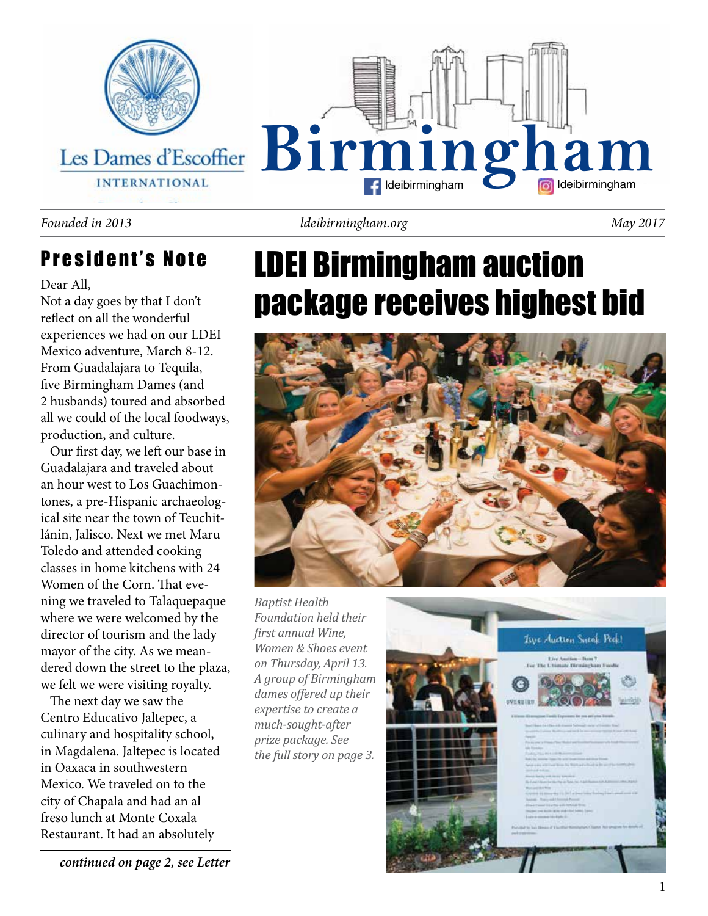

#### *Founded in 2013 ldeibirmingham.org May 2017*

### President's Note

#### Dear All,

Not a day goes by that I don't reflect on all the wonderful experiences we had on our LDEI Mexico adventure, March 8-12. From Guadalajara to Tequila, five Birmingham Dames (and 2 husbands) toured and absorbed all we could of the local foodways, production, and culture.

 Our first day, we left our base in Guadalajara and traveled about an hour west to Los Guachimontones, a pre-Hispanic archaeological site near the town of Teuchitlánin, Jalisco. Next we met Maru Toledo and attended cooking classes in home kitchens with 24 Women of the Corn. That evening we traveled to Talaquepaque where we were welcomed by the director of tourism and the lady mayor of the city. As we meandered down the street to the plaza, we felt we were visiting royalty.

 The next day we saw the Centro Educativo Jaltepec, a culinary and hospitality school, in Magdalena. Jaltepec is located in Oaxaca in southwestern Mexico. We traveled on to the city of Chapala and had an al freso lunch at Monte Coxala Restaurant. It had an absolutely

## LDEI Birmingham auction package receives highest bid



*Baptist Health Foundation held their first annual Wine, Women & Shoes event on Thursday, April 13. A group of Birmingham dames offered up their expertise to create a much-sought-after prize package. See the full story on page 3.*



*continued on page 2, see Letter*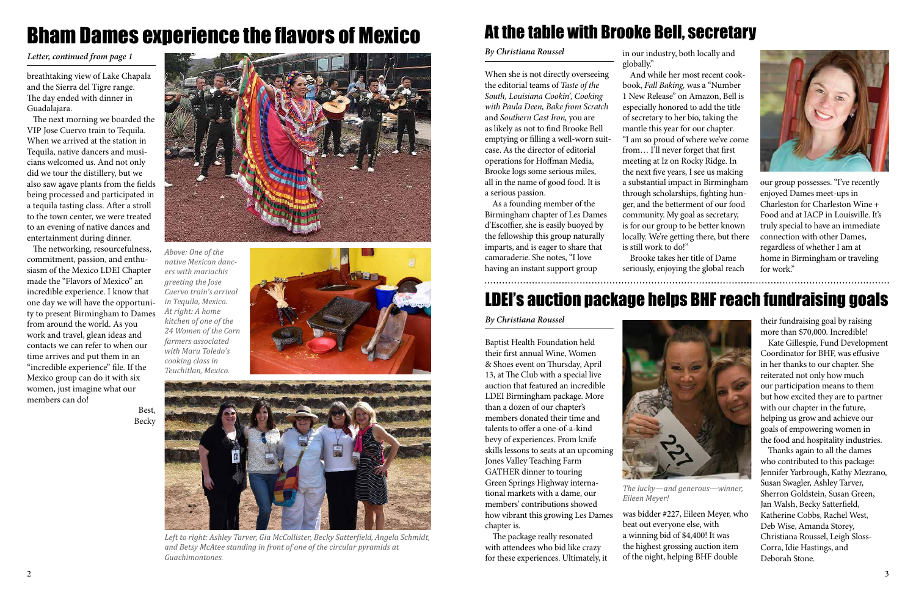

*Above: One of the native Mexican dancers with mariachis greeting the Jose Cuervo train's arrival in Tequila, Mexico. At right: A home kitchen of one of the 24 Women of the Corn farmers associated with Maru Toledo's cooking class in Teuchitlan, Mexico.*



## Bham Dames experience the flavors of Mexico

breathtaking view of Lake Chapala and the Sierra del Tigre range. The day ended with dinner in Guadalajara.

 The next morning we boarded the VIP Jose Cuervo train to Tequila. When we arrived at the station in Tequila, native dancers and musicians welcomed us. And not only did we tour the distillery, but we also saw agave plants from the fields being processed and participated in a tequila tasting class. After a stroll to the town center, we were treated to an evening of native dances and entertainment during dinner.

 The networking, resourcefulness, commitment, passion, and enthusiasm of the Mexico LDEI Chapter made the "Flavors of Mexico" an incredible experience. I know that one day we will have the opportunity to present Birmingham to Dames from around the world. As you work and travel, glean ideas and contacts we can refer to when our time arrives and put them in an "incredible experience" file. If the Mexico group can do it with six women, just imagine what our members can do!





*Letter, continued from page 1*



*Left to right: Ashley Tarver, Gia McCollister, Becky Satterfield, Angela Schmidt, and Betsy McAtee standing in front of one of the circular pyramids at Guachimontones.* 

### At the table with Brooke Bell, secretary

When she is not directly overseeing the editorial teams of *Taste of the South, Louisiana Cookin', Cooking with Paula Deen, Bake from Scratch*  and *Southern Cast Iron,* you are as likely as not to find Brooke Bell emptying or filling a well-worn suitcase. As the director of editorial operations for Hoffman Media, Brooke logs some serious miles, all in the name of good food. It is a serious passion.

As a founding member of the Birmingham chapter of Les Dames d'Escoffier, she is easily buoyed by the fellowship this group naturally imparts, and is eager to share that camaraderie. She notes, "I love having an instant support group

in our industry, both locally and globally."

And while her most recent cookbook, *Fall Baking,* was a "Number 1 New Release" on Amazon, Bell is especially honored to add the title of secretary to her bio, taking the mantle this year for our chapter. "I am so proud of where we've come from... I'll never forget that first meeting at Iz on Rocky Ridge. In the next five years, I see us making a substantial impact in Birmingham through scholarships, fighting hunger, and the betterment of our food community. My goal as secretary, is for our group to be better known locally. We're getting there, but there is still work to do!"

Brooke takes her title of Dame seriously, enjoying the global reach

#### *By Christiana Roussel*

our group possesses. "I've recently enjoyed Dames meet-ups in Charleston for Charleston Wine + Food and at IACP in Louisville. It's truly special to have an immediate connection with other Dames, regardless of whether I am at home in Birmingham or traveling for work."

Baptist Health Foundation held their first annual Wine, Women & Shoes event on Thursday, April 13, at The Club with a special live auction that featured an incredible LDEI Birmingham package. More than a dozen of our chapter's members donated their time and talents to offer a one-of-a-kind bevy of experiences. From knife skills lessons to seats at an upcoming Jones Valley Teaching Farm GATHER dinner to touring Green Springs Highway international markets with a dame, our members' contributions showed how vibrant this growing Les Dames chapter is.

The package really resonated with attendees who bid like crazy for these experiences. Ultimately, it was bidder #227, Eileen Meyer, who beat out everyone else, with a winning bid of \$4,400! It was the highest grossing auction item of the night, helping BHF double

#### *By Christiana Roussel*

### LDEI's auction package helps BHF reach fundraising goals

their fundraising goal by raising more than \$70,000. Incredible!

Kate Gillespie, Fund Development Coordinator for BHF, was effusive in her thanks to our chapter. She reiterated not only how much our participation means to them but how excited they are to partner with our chapter in the future, helping us grow and achieve our goals of empowering women in the food and hospitality industries.

Thanks again to all the dames who contributed to this package: Jennifer Yarbrough, Kathy Mezrano, Susan Swagler, Ashley Tarver, Sherron Goldstein, Susan Green, Jan Walsh, Becky Satterfield, Katherine Cobbs, Rachel West, Deb Wise, Amanda Storey, Christiana Roussel, Leigh Sloss-Corra, Idie Hastings, and Deborah Stone.



*The lucky—and generous—winner, Eileen Meyer!*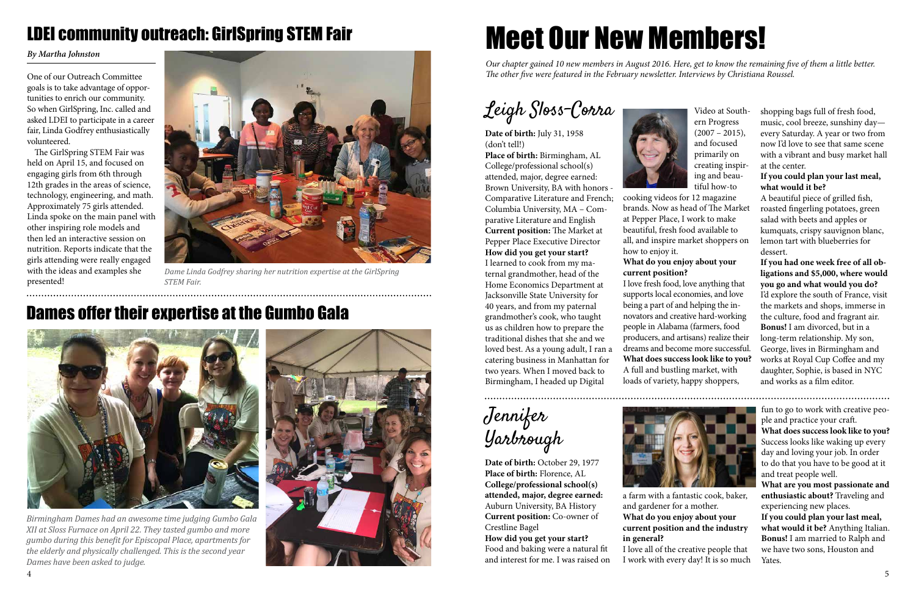Leigh Sloss-Corra

**Date of birth:** July 31, 1958 (don't tell!) **Place of birth:** Birmingham, AL College/professional school(s) attended, major, degree earned: Brown University, BA with honors - Comparative Literature and French; Columbia University, MA – Comparative Literature and English **Current position:** The Market at Pepper Place Executive Director **How did you get your start?** I learned to cook from my maternal grandmother, head of the Home Economics Department at Jacksonville State University for 40 years, and from my paternal grandmother's cook, who taught us as children how to prepare the traditional dishes that she and we loved best. As a young adult, I ran a catering business in Manhattan for two years. When I moved back to Birmingham, I headed up Digital



shopping bags full of fresh food, music, cool breeze, sunshiny day every Saturday. A year or two from now I'd love to see that same scene with a vibrant and busy market hall at the center.

#### **If you could plan your last meal, what would it be?**

A beautiful piece of grilled fish, roasted fingerling potatoes, green salad with beets and apples or kumquats, crispy sauvignon blanc, lemon tart with blueberries for dessert.

**If you had one week free of all obligations and \$5,000, where would you go and what would you do?**  I'd explore the south of France, visit the markets and shops, immerse in the culture, food and fragrant air. **Bonus!** I am divorced, but in a long-term relationship. My son, George, lives in Birmingham and works at Royal Cup Coffee and my daughter, Sophie, is based in NYC and works as a film editor.

Video at Southern Progress  $(2007 - 2015),$ and focused primarily on creating inspiring and beautiful how-to

cooking videos for 12 magazine brands. Now as head of The Market at Pepper Place, I work to make beautiful, fresh food available to all, and inspire market shoppers on

### **What do you enjoy about your**

how to enjoy it. **current position?**

I love fresh food, love anything that supports local economies, and love being a part of and helping the innovators and creative hard-working people in Alabama (farmers, food producers, and artisans) realize their dreams and become more successful. **What does success look like to you?**  A full and bustling market, with loads of variety, happy shoppers,

# Meet Our New Members!

*Our chapter gained 10 new members in August 2016. Here, get to know the remaining five of them a little better. The other five were featured in the February newsletter. Interviews by Christiana Roussel.*

Jennifer Yarbrough

**Date of birth:** October 29, 1977 **Place of birth:** Florence, AL **College/professional school(s) attended, major, degree earned:**  Auburn University, BA History **Current position:** Co-owner of Crestline Bagel

**How did you get your start?**  Food and baking were a natural fit and interest for me. I was raised on fun to go to work with creative people and practice your craft.

**What does success look like to you?**  Success looks like waking up every day and loving your job. In order to do that you have to be good at it and treat people well.

**What are you most passionate and enthusiastic about?** Traveling and experiencing new places.

**If you could plan your last meal, what would it be?** Anything Italian. **Bonus!** I am married to Ralph and we have two sons, Houston and Yates.



a farm with a fantastic cook, baker, and gardener for a mother. **What do you enjoy about your current position and the industry in general?** I love all of the creative people that I work with every day! It is so much



One of our Outreach Committee goals is to take advantage of opportunities to enrich our community. So when GirlSpring, Inc. called and asked LDEI to participate in a career fair, Linda Godfrey enthusiastically volunteered.

The GirlSpring STEM Fair was held on April 15, and focused on engaging girls from 6th through 12th grades in the areas of science, technology, engineering, and math. Approximately 75 girls attended. Linda spoke on the main panel with other inspiring role models and then led an interactive session on nutrition. Reports indicate that the girls attending were really engaged with the ideas and examples she presented!

*By Martha Johnston*

### LDEI community outreach: GirlSpring STEM Fair



*Dame Linda Godfrey sharing her nutrition expertise at the GirlSpring STEM Fair.*



*Birmingham Dames had an awesome time judging Gumbo Gala XII at Sloss Furnace on April 22. They tasted gumbo and more gumbo during this benefit for Episcopal Place, apartments for the elderly and physically challenged. This is the second year Dames have been asked to judge.*



### Dames offer their expertise at the Gumbo Gala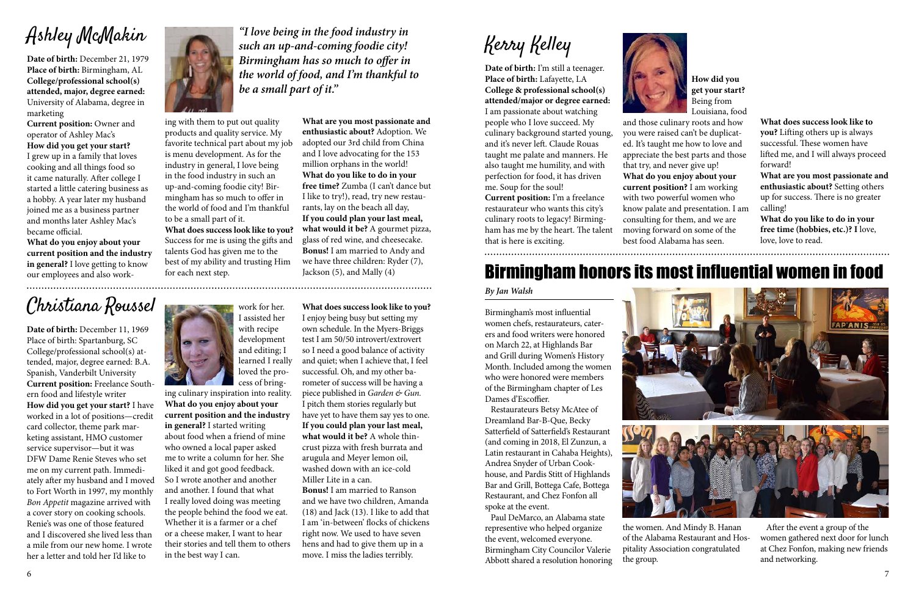## Ashley McMakin

**Date of birth:** December 21, 1979 **Place of birth:** Birmingham, AL **College/professional school(s) attended, major, degree earned:** University of Alabama, degree in marketing

**Current position:** Owner and operator of Ashley Mac's

**How did you get your start?**  I grew up in a family that loves cooking and all things food so it came naturally. After college I started a little catering business as a hobby. A year later my husband joined me as a business partner and months later Ashley Mac's became official.

**What do you enjoy about your current position and the industry in general?** I love getting to know our employees and also work**What are you most passionate and enthusiastic about?** Adoption. We

adopted our 3rd child from China and I love advocating for the 153 million orphans in the world! **What do you like to do in your free time?** Zumba (I can't dance but I like to try!), read, try new restaurants, lay on the beach all day, **If you could plan your last meal, what would it be?** A gourmet pizza, glass of red wine, and cheesecake. **Bonus!** I am married to Andy and we have three children: Ryder (7), Jackson (5), and Mally (4)

ing with them to put out quality products and quality service. My favorite technical part about my job is menu development. As for the industry in general, I love being in the food industry in such an up-and-coming foodie city! Birmingham has so much to offer in the world of food and I'm thankful to be a small part of it.

**What does success look like to you?**  Success for me is using the gifts and talents God has given me to the best of my ability and trusting Him for each next step.

*"I love being in the food industry in such an up-and-coming foodie city! Birmingham has so much to offer in the world of food, and I'm thankful to be a small part of it."* 

### Christiana Roussel

**Date of birth:** December 11, 1969 Place of birth: Spartanburg, SC College/professional school(s) attended, major, degree earned: B.A. Spanish, Vanderbilt University **Current position:** Freelance Southern food and lifestyle writer **How did you get your start?** I have worked in a lot of positions—credit card collector, theme park marketing assistant, HMO customer service supervisor—but it was DFW Dame Renie Steves who set me on my current path. Immediately after my husband and I moved to Fort Worth in 1997, my monthly *Bon Appetit* magazine arrived with a cover story on cooking schools. Renie's was one of those featured and I discovered she lived less than a mile from our new home. I wrote her a letter and told her I'd like to



**What does success look like to you?**  I enjoy being busy but setting my own schedule. In the Myers-Briggs test I am 50/50 introvert/extrovert so I need a good balance of activity and quiet; when I achieve that, I feel successful. Oh, and my other barometer of success will be having a piece published in *Garden & Gun.*  I pitch them stories regularly but have yet to have them say yes to one. **If you could plan your last meal, what would it be?** A whole thincrust pizza with fresh burrata and arugula and Meyer lemon oil, washed down with an ice-cold Miller Lite in a can.

**Bonus!** I am married to Ranson and we have two children, Amanda (18) and Jack (13). I like to add that I am 'in-between' flocks of chickens right now. We used to have seven hens and had to give them up in a move. I miss the ladies terribly.

work for her.

I assisted her with recipe development and editing; I learned I really loved the process of bring-

ing culinary inspiration into reality. **What do you enjoy about your current position and the industry in general?** I started writing about food when a friend of mine who owned a local paper asked me to write a column for her. She liked it and got good feedback. So I wrote another and another and another. I found that what I really loved doing was meeting the people behind the food we eat. Whether it is a farmer or a chef or a cheese maker, I want to hear their stories and tell them to others in the best way I can.



Kerry Kelley

**Date of birth:** I'm still a teenager. **Place of birth:** Lafayette, LA **College & professional school(s) attended/major or degree earned:**  I am passionate about watching people who I love succeed. My culinary background started young, and it's never left. Claude Rouas taught me palate and manners. He also taught me humility, and with perfection for food, it has driven me. Soup for the soul! **Current position:** I'm a freelance restaurateur who wants this city's culinary roots to legacy! Birmingham has me by the heart. The talent

that is here is exciting.

**What does success look like to you?** Lifting others up is always successful. These women have lifted me, and I will always proceed forward!

**What are you most passionate and enthusiastic about?** Setting others up for success. There is no greater calling!

**What do you like to do in your free time (hobbies, etc.)? I** love, love, love to read.



**How did you get your start?**  Being from Louisiana, food

that try, and never give up! 

and those culinary roots and how you were raised can't be duplicated. It's taught me how to love and appreciate the best parts and those **What do you enjoy about your current position?** I am working with two powerful women who know palate and presentation. I am consulting for them, and we are moving forward on some of the best food Alabama has seen.

### Birmingham honors its most influential women in food

Birmingham's most influential women chefs, restaurateurs, caterers and food writers were honored on March 22, at Highlands Bar and Grill during Women's History Month. Included among the women who were honored were members of the Birmingham chapter of Les Dames d'Escoffier.

 Restaurateurs Betsy McAtee of Dreamland Bar-B-Que, Becky Satterfield of Satterfield's Restaurant (and coming in 2018, El Zunzun, a Latin restaurant in Cahaba Heights), Andrea Snyder of Urban Cookhouse, and Pardis Stitt of Highlands Bar and Grill, Bottega Cafe, Bottega Restaurant, and Chez Fonfon all spoke at the event.

 Paul DeMarco, an Alabama state representive who helped organize the event, welcomed everyone. Birmingham City Councilor Valerie Abbott shared a resolution honoring



#### *By Jan Walsh*



the women. And Mindy B. Hanan of the Alabama Restaurant and Hospitality Association congratulated the group.



 After the event a group of the women gathered next door for lunch at Chez Fonfon, making new friends and networking.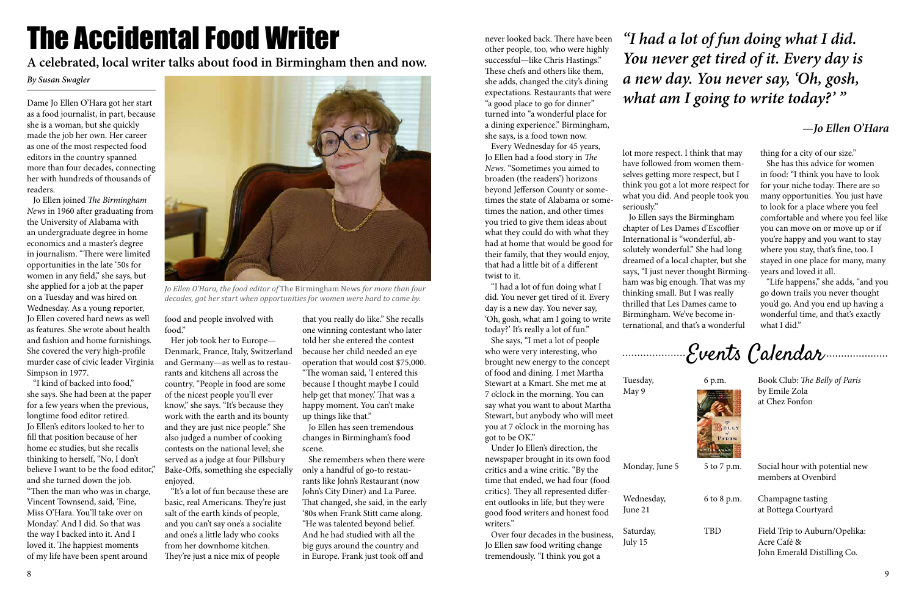# The Accidental Food Writer

### *By Susan Swagler*

Dame Jo Ellen O'Hara got her start as a food journalist, in part, because she is a woman, but she quickly made the job her own. Her career as one of the most respected food editors in the country spanned more than four decades, connecting her with hundreds of thousands of readers.

 Jo Ellen joined *The Birmingham News* in 1960 after graduating from the University of Alabama with an undergraduate degree in home economics and a master's degree in journalism. "There were limited opportunities in the late '50s for women in any field," she says, but she applied for a job at the paper on a Tuesday and was hired on Wednesday. As a young reporter, Jo Ellen covered hard news as well as features. She wrote about health and fashion and home furnishings. She covered the very high-profile murder case of civic leader Virginia Simpson in 1977.

 "I kind of backed into food," she says. She had been at the paper for a few years when the previous, longtime food editor retired. Jo Ellen's editors looked to her to fill that position because of her home ec studies, but she recalls thinking to herself, "No, I don't believe I want to be the food editor," and she turned down the job. "Then the man who was in charge, Vincent Townsend, said, 'Fine, Miss O'Hara. You'll take over on Monday.' And I did. So that was the way I backed into it. And I loved it. The happiest moments of my life have been spent around



*Jo Ellen O'Hara, the food editor of* The Birmingham News *for more than four decades, got her start when opportunities for women were hard to come by.*

food and people involved with food."

 Her job took her to Europe— Denmark, France, Italy, Switzerland and Germany—as well as to restaurants and kitchens all across the country. "People in food are some of the nicest people you'll ever know," she says. "It's because they work with the earth and its bounty and they are just nice people." She also judged a number of cooking contests on the national level; she served as a judge at four Pillsbury Bake-Offs, something she especially enjoyed.

 "It's a lot of fun because these are basic, real Americans. They're just salt of the earth kinds of people, and you can't say one's a socialite and one's a little lady who cooks from her downhome kitchen. They're just a nice mix of people

that you really do like." She recalls one winning contestant who later told her she entered the contest because her child needed an eye operation that would cost \$75,000. "The woman said, 'I entered this because I thought maybe I could help get that money.' That was a happy moment. You can't make up things like that."

 Jo Ellen has seen tremendous changes in Birmingham's food scene.

 She remembers when there were only a handful of go-to restaurants like John's Restaurant (now John's City Diner) and La Paree. That changed, she said, in the early '80s when Frank Stitt came along. "He was talented beyond belief. And he had studied with all the big guys around the country and in Europe. Frank just took off and

 "Life happens," she adds, "and you go down trails you never thought you'd go. And you end up having a wonderful time, and that's exactly what I did."

Monday, June 5 5 to 7 p.m. Social hour with potential new members at Ovenbird

Wednesday, 6 to 8 p.m. Champagne tasting June 21 at Bottega Courtyard

**A celebrated, local writer talks about food in Birmingham then and now.**

Saturday, TBD Field Trip to Auburn/Opelika: July 15 Acre Café & John Emerald Distilling Co.

never looked back. There have been other people, too, who were highly successful—like Chris Hastings." These chefs and others like them, she adds, changed the city's dining expectations. Restaurants that were "a good place to go for dinner" turned into "a wonderful place for a dining experience." Birmingham, she says, is a food town now.

 Every Wednesday for 45 years, Jo Ellen had a food story in *The News.* "Sometimes you aimed to broaden (the readers') horizons beyond Jefferson County or sometimes the state of Alabama or sometimes the nation, and other times you tried to give them ideas about what they could do with what they had at home that would be good for their family, that they would enjoy, that had a little bit of a different twist to it.

 "I had a lot of fun doing what I did. You never get tired of it. Every day is a new day. You never say, 'Oh, gosh, what am I going to write today?' It's really a lot of fun."

 She says, "I met a lot of people who were very interesting, who brought new energy to the concept of food and dining. I met Martha Stewart at a Kmart. She met me at 7 o'clock in the morning. You can say what you want to about Martha Stewart, but anybody who will meet you at 7 o'clock in the morning has got to be OK."

 Under Jo Ellen's direction, the newspaper brought in its own food critics and a wine critic. "By the time that ended, we had four (food critics). They all represented different outlooks in life, but they were good food writers and honest food writers."

 Over four decades in the business, Jo Ellen saw food writing change tremendously. "I think you got a

lot more respect. I think that may have followed from women themselves getting more respect, but I think you got a lot more respect for what you did. And people took you

seriously."

 Jo Ellen says the Birmingham chapter of Les Dames d'Escoffier International is "wonderful, absolutely wonderful." She had long dreamed of a local chapter, but she says, "I just never thought Birmingham was big enough. That was my thinking small. But I was really thrilled that Les Dames came to Birmingham. We've become international, and that's a wonderful

### *"I had a lot of fun doing what I did. You never get tired of it. Every day is a new day. You never say, 'Oh, gosh, what am I going to write today?' "*

### *—Jo Ellen O'Hara*

thing for a city of our size."

 She has this advice for women in food: "I think you have to look for your niche today. There are so many opportunities. You just have to look for a place where you feel comfortable and where you feel like you can move on or move up or if you're happy and you want to stay where you stay, that's fine, too. I stayed in one place for many, many years and loved it all.

Tuesday, 6 p.m. Book Club: *The Belly of Paris* May 9 by Emile Zola at Chez Fonfon

Events Calendar

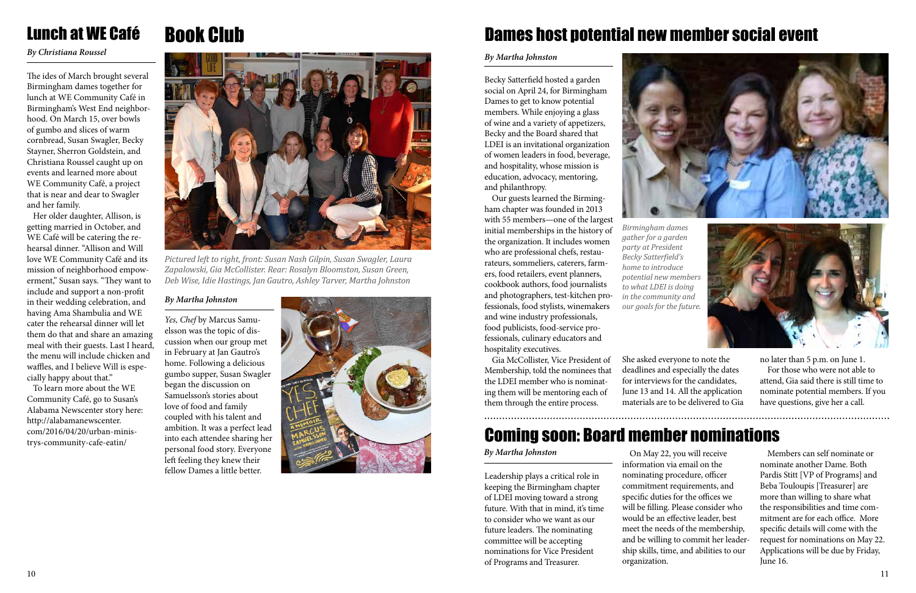

## Book Club

#### *By Martha Johnston*

*Yes, Chef* by Marcus Samuelsson was the topic of discussion when our group met in February at Jan Gautro's home. Following a delicious gumbo supper, Susan Swagler began the discussion on Samuelsson's stories about love of food and family coupled with his talent and ambition. It was a perfect lead into each attendee sharing her personal food story. Everyone left feeling they knew their fellow Dames a little better.



*Pictured left to right, front: Susan Nash Gilpin, Susan Swagler, Laura Zapalowski, Gia McCollister. Rear: Rosalyn Bloomston, Susan Green, Deb Wise, Idie Hastings, Jan Gautro, Ashley Tarver, Martha Johnston*

### Lunch at WE Café

*By Christiana Roussel*

The ides of March brought several Birmingham dames together for lunch at WE Community Café in Birmingham's West End neighborhood. On March 15, over bowls of gumbo and slices of warm cornbread, Susan Swagler, Becky Stayner, Sherron Goldstein, and Christiana Roussel caught up on events and learned more about WE Community Café, a project that is near and dear to Swagler and her family.

 Her older daughter, Allison, is getting married in October, and WE Café will be catering the rehearsal dinner. "Allison and Will love WE Community Café and its mission of neighborhood empowerment," Susan says. "They want to include and support a non-profit in their wedding celebration, and having Ama Shambulia and WE cater the rehearsal dinner will let them do that and share an amazing meal with their guests. Last I heard, the menu will include chicken and waffles, and I believe Will is especially happy about that."

 To learn more about the WE Community Café, go to Susan's Alabama Newscenter story here: http://alabamanewscenter. com/2016/04/20/urban-ministrys-community-cafe-eatin/



Becky Satterfield hosted a garden social on April 24, for Birmingham Dames to get to know potential members. While enjoying a glass of wine and a variety of appetizers, Becky and the Board shared that LDEI is an invitational organization of women leaders in food, beverage, and hospitality, whose mission is education, advocacy, mentoring, and philanthropy.

Our guests learned the Birmingham chapter was founded in 2013 with 55 members—one of the largest initial memberships in the history of the organization. It includes women who are professional chefs, restaurateurs, sommeliers, caterers, farmers, food retailers, event planners, cookbook authors, food journalists and photographers, test-kitchen professionals, food stylists, winemakers and wine industry professionals, food publicists, food-service professionals, culinary educators and hospitality executives.

Gia McCollister, Vice President of Membership, told the nominees that the LDEI member who is nominating them will be mentoring each of them through the entire process.

#### *By Martha Johnston*

### Dames host potential new member social event

Leadership plays a critical role in keeping the Birmingham chapter of LDEI moving toward a strong future. With that in mind, it's time to consider who we want as our future leaders. The nominating committee will be accepting nominations for Vice President of Programs and Treasurer.

#### *By Martha Johnston*

### Coming soon: Board member nominations

She asked everyone to note the deadlines and especially the dates for interviews for the candidates, June 13 and 14. All the application materials are to be delivered to Gia

On May 22, you will receive information via email on the nominating procedure, officer commitment requirements, and specific duties for the offices we will be filling. Please consider who would be an effective leader, best meet the needs of the membership, and be willing to commit her leadership skills, time, and abilities to our organization.

Members can self nominate or nominate another Dame. Both Pardis Stitt [VP of Programs] and Beba Touloupis [Treasurer] are more than willing to share what the responsibilities and time commitment are for each office. More specific details will come with the request for nominations on May 22. Applications will be due by Friday, June 16.

no later than 5 p.m. on June 1. For those who were not able to attend, Gia said there is still time to nominate potential members. If you have questions, give her a call.

*Birmingham dames gather for a garden party at President Becky Satterfield's home to introduce potential new members to what LDEI is doing* 

*in the community and our goals for the future.* 

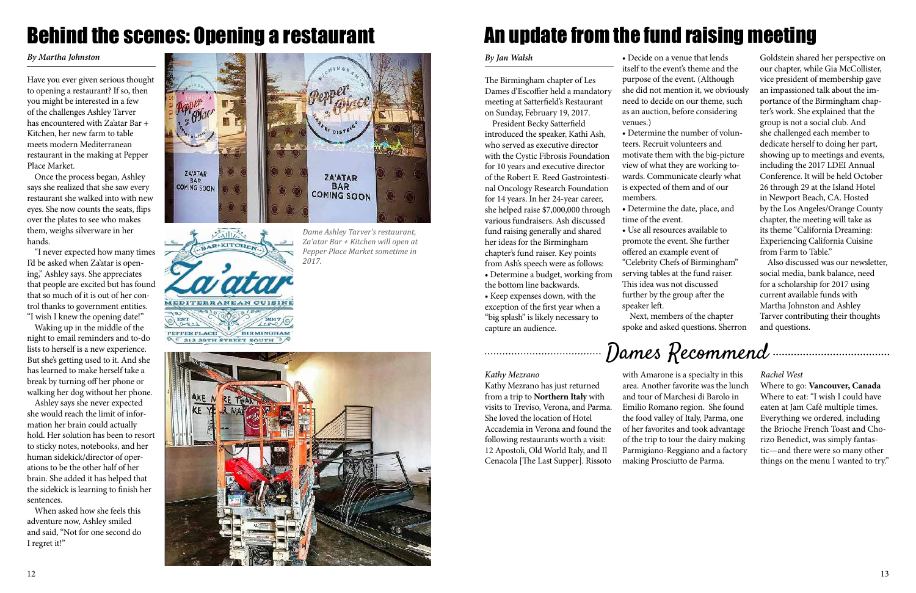12





#### *Kathy Mezrano*

Kathy Mezrano has just returned from a trip to **Northern Italy** with visits to Treviso, Verona, and Parma. She loved the location of Hotel Accademia in Verona and found the following restaurants worth a visit: 12 Apostoli, Old World Italy, and Il Cenacola [The Last Supper]. Rissoto

with Amarone is a specialty in this area. Another favorite was the lunch and tour of Marchesi di Barolo in Emilio Romano region. She found the food valley of Italy, Parma, one of her favorites and took advantage of the trip to tour the dairy making Parmigiano-Reggiano and a factory making Prosciutto de Parma.

Have you ever given serious thought to opening a restaurant? If so, then you might be interested in a few of the challenges Ashley Tarver has encountered with Za'atar Bar + Kitchen, her new farm to table meets modern Mediterranean restaurant in the making at Pepper Place Market.

Once the process began, Ashley says she realized that she saw every restaurant she walked into with new eyes. She now counts the seats, flips over the plates to see who makes them, weighs silverware in her hands.

"I never expected how many times I'd be asked when Za'atar is opening," Ashley says. She appreciates that people are excited but has found that so much of it is out of her control thanks to government entities. "I wish I knew the opening date!"

Waking up in the middle of the night to email reminders and to-do lists to herself is a new experience. But she's getting used to it. And she has learned to make herself take a break by turning off her phone or walking her dog without her phone.

Ashley says she never expected she would reach the limit of information her brain could actually hold. Her solution has been to resort to sticky notes, notebooks, and her human sidekick/director of operations to be the other half of her brain. She added it has helped that the sidekick is learning to finish her sentences.

When asked how she feels this adventure now, Ashley smiled and said, "Not for one second do I regret it!"

#### *By Martha Johnston*

## Behind the scenes: Opening a restaurant

*Dame Ashley Tarver's restaurant, Za'atar Bar + Kitchen will open at Pepper Place Market sometime in* 

 $\sqrt{\frac{1}{2}}$ AR KITCHEN **MEDITERRANEAN CUISINE** PEPPER PLACE **BIRMINGHAM** 212 29TH STREET SOUTH 3



*2017.* 

#### *Rachel West*

Where to go: **Vancouver, Canada**  Where to eat: "I wish I could have eaten at Jam Café multiple times. Everything we ordered, including the Brioche French Toast and Chorizo Benedict, was simply fantastic—and there were so many other things on the menu I wanted to try."

The Birmingham chapter of Les Dames d'Escoffier held a mandatory meeting at Satterfield's Restaurant on Sunday, February 19, 2017.

President Becky Satterfield introduced the speaker, Kathi Ash, who served as executive director with the Cystic Fibrosis Foundation for 10 years and executive director of the Robert E. Reed Gastrointestinal Oncology Research Foundation for 14 years. In her 24-year career, she helped raise \$7,000,000 through various fundraisers. Ash discussed fund raising generally and shared her ideas for the Birmingham chapter's fund raiser. Key points from Ash's speech were as follows:

• Determine a budget, working from the bottom line backwards.

• Keep expenses down, with the exception of the first year when a "big splash" is likely necessary to capture an audience.

#### *By Jan Walsh*

## An update from the fund raising meeting

• Decide on a venue that lends itself to the event's theme and the purpose of the event. (Although she did not mention it, we obviously need to decide on our theme, such as an auction, before considering

venues.)

• Determine the number of volunteers. Recruit volunteers and motivate them with the big-picture view of what they are working towards. Communicate clearly what is expected of them and of our members.

• Determine the date, place, and time of the event. • Use all resources available to promote the event. She further offered an example event of "Celebrity Chefs of Birmingham" serving tables at the fund raiser. This idea was not discussed further by the group after the speaker left.

Next, members of the chapter spoke and asked questions. Sherron

Goldstein shared her perspective on our chapter, while Gia McCollister, vice president of membership gave an impassioned talk about the importance of the Birmingham chapter's work. She explained that the group is not a social club. And she challenged each member to dedicate herself to doing her part, showing up to meetings and events, including the 2017 LDEI Annual Conference. It will be held October 26 through 29 at the Island Hotel in Newport Beach, CA. Hosted by the Los Angeles/Orange County chapter, the meeting will take as its theme "California Dreaming: Experiencing California Cuisine from Farm to Table."

Also discussed was our newsletter, social media, bank balance, need for a scholarship for 2017 using current available funds with Martha Johnston and Ashley Tarver contributing their thoughts and questions.